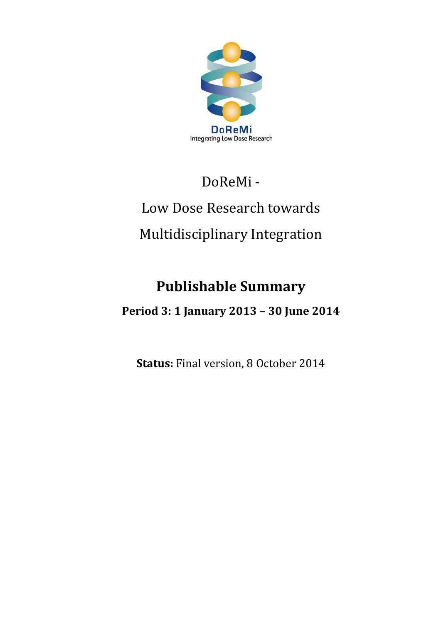

## DoReMi-

# Low Dose Research towards Multidisciplinary Integration

## **Publishable Summary**

### **Period 3: 1 January 2013 – 30 June 2014**

**Status:** Final version, 8 October 2014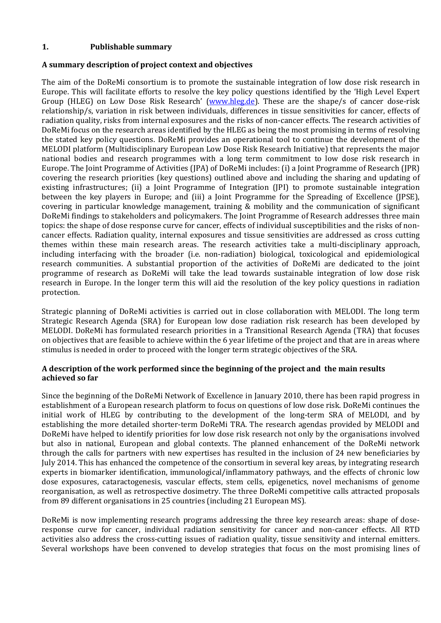#### **1. Publishable summary**

#### **A summary description of project context and objectives**

The aim of the DoReMi consortium is to promote the sustainable integration of low dose risk research in Europe. This will facilitate efforts to resolve the key policy questions identified by the 'High Level Expert Group (HLEG) on Low Dose Risk Research' (www.hleg.de). These are the shape/s of cancer dose-risk relationship/s, variation in risk between individuals, differences in tissue sensitivities for cancer, effects of radiation quality, risks from internal exposures and the risks of non-cancer effects. The research activities of DoReMi focus on the research areas identified by the HLEG as being the most promising in terms of resolving the stated key policy questions. DoReMi provides an operational tool to continue the development of the MELODI platform (Multidisciplinary European Low Dose Risk Research Initiative) that represents the major national bodies and research programmes with a long term commitment to low dose risk research in Europe. The Joint Programme of Activities (JPA) of DoReMi includes: (i) a Joint Programme of Research (JPR) covering the research priorities (key questions) outlined above and including the sharing and updating of existing infrastructures; (ii) a Joint Programme of Integration (JPI) to promote sustainable integration between the key players in Europe; and (iii) a Joint Programme for the Spreading of Excellence (JPSE), covering in particular knowledge management, training & mobility and the communication of significant DoReMi findings to stakeholders and policymakers. The Joint Programme of Research addresses three main topics: the shape of dose response curve for cancer, effects of individual susceptibilities and the risks of noncancer effects. Radiation quality, internal exposures and tissue sensitivities are addressed as cross cutting themes within these main research areas. The research activities take a multi-disciplinary approach, including interfacing with the broader (i.e. non-radiation) biological, toxicological and epidemiological research communities. A substantial proportion of the activities of DoReMi are dedicated to the joint programme of research as DoReMi will take the lead towards sustainable integration of low dose risk research in Europe. In the longer term this will aid the resolution of the key policy questions in radiation protection.

Strategic planning of DoReMi activities is carried out in close collaboration with MELODI. The long term Strategic Research Agenda (SRA) for European low dose radiation risk research has been developed by MELODI. DoReMi has formulated research priorities in a Transitional Research Agenda (TRA) that focuses on objectives that are feasible to achieve within the 6 year lifetime of the project and that are in areas where stimulus is needed in order to proceed with the longer term strategic objectives of the SRA.

#### **A description of the work performed since the beginning of the project and the main results achieved so far**

Since the beginning of the DoReMi Network of Excellence in January 2010, there has been rapid progress in establishment of a European research platform to focus on questions of low dose risk. DoReMi continues the initial work of HLEG by contributing to the development of the long-term SRA of MELODI, and by establishing the more detailed shorter-term DoReMi TRA. The research agendas provided by MELODI and DoReMi have helped to identify priorities for low dose risk research not only by the organisations involved but also in national, European and global contexts. The planned enhancement of the DoReMi network through the calls for partners with new expertises has resulted in the inclusion of 24 new beneficiaries by July 2014. This has enhanced the competence of the consortium in several key areas, by integrating research experts in biomarker identification, immunological/inflammatory pathways, and the effects of chronic low dose exposures, cataractogenesis, vascular effects, stem cells, epigenetics, novel mechanisms of genome reorganisation, as well as retrospective dosimetry. The three DoReMi competitive calls attracted proposals from 89 different organisations in 25 countries (including 21 European MS).

DoReMi is now implementing research programs addressing the three key research areas: shape of doseresponse curve for cancer, individual radiation sensitivity for cancer and non-cancer effects. All RTD activities also address the cross-cutting issues of radiation quality, tissue sensitivity and internal emitters. Several workshops have been convened to develop strategies that focus on the most promising lines of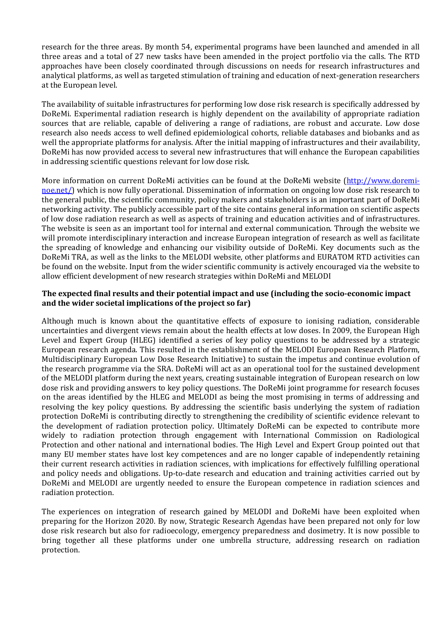research for the three areas. By month 54, experimental programs have been launched and amended in all three areas and a total of 27 new tasks have been amended in the project portfolio via the calls. The RTD approaches have been closely coordinated through discussions on needs for research infrastructures and analytical platforms, as well as targeted stimulation of training and education of next-generation researchers at the European level.

The availability of suitable infrastructures for performing low dose risk research is specifically addressed by DoReMi. Experimental radiation research is highly dependent on the availability of appropriate radiation sources that are reliable, capable of delivering a range of radiations, are robust and accurate. Low dose research also needs access to well defined epidemiological cohorts, reliable databases and biobanks and as well the appropriate platforms for analysis. After the initial mapping of infrastructures and their availability, DoReMi has now provided access to several new infrastructures that will enhance the European capabilities in addressing scientific questions relevant for low dose risk.

More information on current DoReMi activities can be found at the DoReMi website [\(http://www.doremi](http://www.doremi-noe.net/)[noe.net/\)](http://www.doremi-noe.net/) which is now fully operational. Dissemination of information on ongoing low dose risk research to the general public, the scientific community, policy makers and stakeholders is an important part of DoReMi networking activity. The publicly accessible part of the site contains general information on scientific aspects of low dose radiation research as well as aspects of training and education activities and of infrastructures. The website is seen as an important tool for internal and external communication. Through the website we will promote interdisciplinary interaction and increase European integration of research as well as facilitate the spreading of knowledge and enhancing our visibility outside of DoReMi. Key documents such as the DoReMi TRA, as well as the links to the MELODI website, other platforms and EURATOM RTD activities can be found on the website. Input from the wider scientific community is actively encouraged via the website to allow efficient development of new research strategies within DoReMi and MELODI

#### **The expected final results and their potential impact and use (including the socio-economic impact and the wider societal implications of the project so far)**

Although much is known about the quantitative effects of exposure to ionising radiation, considerable uncertainties and divergent views remain about the health effects at low doses. In 2009, the European High Level and Expert Group (HLEG) identified a series of key policy questions to be addressed by a strategic European research agenda. This resulted in the establishment of the MELODI European Research Platform, Multidisciplinary European Low Dose Research Initiative) to sustain the impetus and continue evolution of the research programme via the SRA. DoReMi will act as an operational tool for the sustained development of the MELODI platform during the next years, creating sustainable integration of European research on low dose risk and providing answers to key policy questions. The DoReMi joint programme for research focuses on the areas identified by the HLEG and MELODI as being the most promising in terms of addressing and resolving the key policy questions. By addressing the scientific basis underlying the system of radiation protection DoReMi is contributing directly to strengthening the credibility of scientific evidence relevant to the development of radiation protection policy. Ultimately DoReMi can be expected to contribute more widely to radiation protection through engagement with International Commission on Radiological Protection and other national and international bodies. The High Level and Expert Group pointed out that many EU member states have lost key competences and are no longer capable of independently retaining their current research activities in radiation sciences, with implications for effectively fulfilling operational and policy needs and obligations. Up-to-date research and education and training activities carried out by DoReMi and MELODI are urgently needed to ensure the European competence in radiation sciences and radiation protection.

The experiences on integration of research gained by MELODI and DoReMi have been exploited when preparing for the Horizon 2020. By now, Strategic Research Agendas have been prepared not only for low dose risk research but also for radioecology, emergency preparedness and dosimetry. It is now possible to bring together all these platforms under one umbrella structure, addressing research on radiation protection.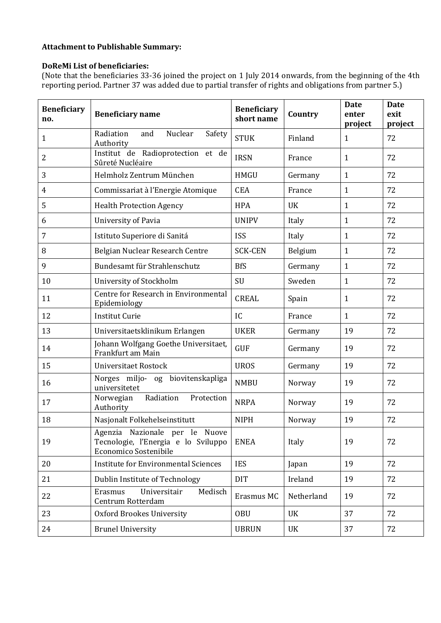#### **Attachment to Publishable Summary:**

#### **DoReMi List of beneficiaries:**

(Note that the beneficiaries 33-36 joined the project on 1 July 2014 onwards, from the beginning of the 4th reporting period. Partner 37 was added due to partial transfer of rights and obligations from partner 5.)

| <b>Beneficiary</b><br>no. | <b>Beneficiary name</b>                                                                        | <b>Beneficiary</b><br>short name | Country    | <b>Date</b><br>enter<br>project | <b>Date</b><br>exit<br>project |
|---------------------------|------------------------------------------------------------------------------------------------|----------------------------------|------------|---------------------------------|--------------------------------|
| $\mathbf{1}$              | Nuclear<br>Radiation<br>and<br>Safety<br>Authority                                             | <b>STUK</b>                      | Finland    | $\mathbf{1}$                    | 72                             |
| $\overline{2}$            | Institut de Radioprotection et de<br>Sûreté Nucléaire                                          | <b>IRSN</b>                      | France     | $\mathbf{1}$                    | 72                             |
| 3                         | Helmholz Zentrum München                                                                       | <b>HMGU</b>                      | Germany    | $\mathbf{1}$                    | 72                             |
| $\overline{4}$            | Commissariat à l'Energie Atomique                                                              | <b>CEA</b>                       | France     | $\mathbf{1}$                    | 72                             |
| 5                         | <b>Health Protection Agency</b>                                                                | <b>HPA</b>                       | <b>UK</b>  | $\mathbf{1}$                    | 72                             |
| 6                         | University of Pavia                                                                            | <b>UNIPV</b>                     | Italy      | 1                               | 72                             |
| 7                         | Istituto Superiore di Sanitá                                                                   | <b>ISS</b>                       | Italy      | 1                               | 72                             |
| 8                         | Belgian Nuclear Research Centre                                                                | <b>SCK-CEN</b>                   | Belgium    | $\mathbf{1}$                    | 72                             |
| 9                         | Bundesamt für Strahlenschutz                                                                   | <b>BfS</b>                       | Germany    | $\mathbf{1}$                    | 72                             |
| 10                        | University of Stockholm                                                                        | SU                               | Sweden     | $\mathbf{1}$                    | 72                             |
| 11                        | Centre for Research in Environmental<br>Epidemiology                                           | <b>CREAL</b>                     | Spain      | $\mathbf{1}$                    | 72                             |
| 12                        | <b>Institut Curie</b>                                                                          | IC                               | France     | $\mathbf{1}$                    | 72                             |
| 13                        | Universitaetsklinikum Erlangen                                                                 | <b>UKER</b>                      | Germany    | 19                              | 72                             |
| 14                        | Johann Wolfgang Goethe Universitaet,<br>Frankfurt am Main                                      | <b>GUF</b>                       | Germany    | 19                              | 72                             |
| 15                        | <b>Universitaet Rostock</b>                                                                    | <b>UROS</b>                      | Germany    | 19                              | 72                             |
| 16                        | Norges miljo- og biovitenskapliga<br>universitetet                                             | <b>NMBU</b>                      | Norway     | 19                              | 72                             |
| 17                        | Radiation<br>Norwegian<br>Protection<br>Authority                                              | <b>NRPA</b>                      | Norway     | 19                              | 72                             |
| 18                        | Nasjonalt Folkehelseinstitutt                                                                  | <b>NIPH</b>                      | Norway     | 19                              | 72                             |
| 19                        | Agenzia Nazionale per le Nuove<br>Tecnologie, l'Energia e lo Sviluppo<br>Economico Sostenibile | <b>ENEA</b>                      | Italy      | 19                              | 72                             |
| 20                        | <b>Institute for Environmental Sciences</b>                                                    | <b>IES</b>                       | Japan      | 19                              | 72                             |
| 21                        | Dublin Institute of Technology                                                                 | <b>DIT</b>                       | Ireland    | 19                              | 72                             |
| 22                        | Universitair<br>Medisch<br>Erasmus<br>Centrum Rotterdam                                        | Erasmus MC                       | Netherland | 19                              | 72                             |
| 23                        | <b>Oxford Brookes University</b>                                                               | <b>OBU</b>                       | <b>UK</b>  | 37                              | 72                             |
| 24                        | <b>Brunel University</b>                                                                       | <b>UBRUN</b>                     | UK         | 37                              | 72                             |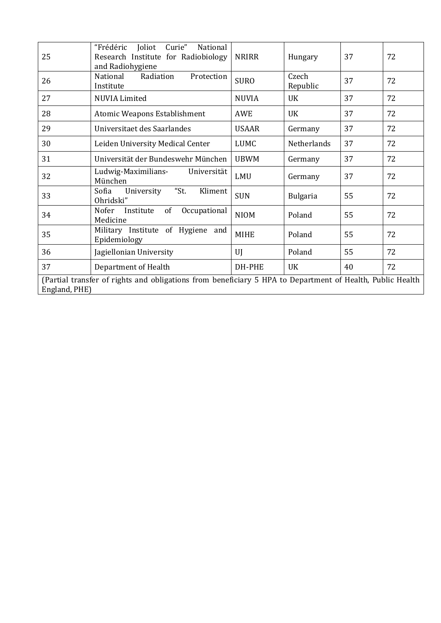| 25                                                                                                                         | "Frédéric<br>Joliot<br>Curie"<br>National<br>Research Institute for Radiobiology<br>and Radiohygiene | <b>NRIRR</b> | Hungary           | 37 | 72 |  |  |
|----------------------------------------------------------------------------------------------------------------------------|------------------------------------------------------------------------------------------------------|--------------|-------------------|----|----|--|--|
| 26                                                                                                                         | Radiation<br>Protection<br>National<br>Institute                                                     | <b>SURO</b>  | Czech<br>Republic | 37 | 72 |  |  |
| 27                                                                                                                         | <b>NUVIA Limited</b>                                                                                 | <b>NUVIA</b> | <b>UK</b>         | 37 | 72 |  |  |
| 28                                                                                                                         | Atomic Weapons Establishment                                                                         | <b>AWE</b>   | <b>UK</b>         | 37 | 72 |  |  |
| 29                                                                                                                         | Universitaet des Saarlandes                                                                          | <b>USAAR</b> | Germany           | 37 | 72 |  |  |
| 30                                                                                                                         | Leiden University Medical Center                                                                     | LUMC         | Netherlands       | 37 | 72 |  |  |
| 31                                                                                                                         | Universität der Bundeswehr München                                                                   | <b>UBWM</b>  | Germany           | 37 | 72 |  |  |
| 32                                                                                                                         | Ludwig-Maximilians- Universität<br>München                                                           | LMU          | Germany           | 37 | 72 |  |  |
| 33                                                                                                                         | "St.<br>Kliment<br>Sofia<br>University<br>Ohridski"                                                  | <b>SUN</b>   | <b>Bulgaria</b>   | 55 | 72 |  |  |
| 34                                                                                                                         | Nofer<br>of<br>Occupational<br>Institute<br>Medicine                                                 | <b>NIOM</b>  | Poland            | 55 | 72 |  |  |
| 35                                                                                                                         | Military Institute of Hygiene and<br>Epidemiology                                                    | <b>MIHE</b>  | Poland            | 55 | 72 |  |  |
| 36                                                                                                                         | Jagiellonian University                                                                              | UI           | Poland            | 55 | 72 |  |  |
| 37                                                                                                                         | Department of Health                                                                                 | DH-PHE       | <b>UK</b>         | 40 | 72 |  |  |
| (Partial transfer of rights and obligations from beneficiary 5 HPA to Department of Health, Public Health<br>England, PHE) |                                                                                                      |              |                   |    |    |  |  |